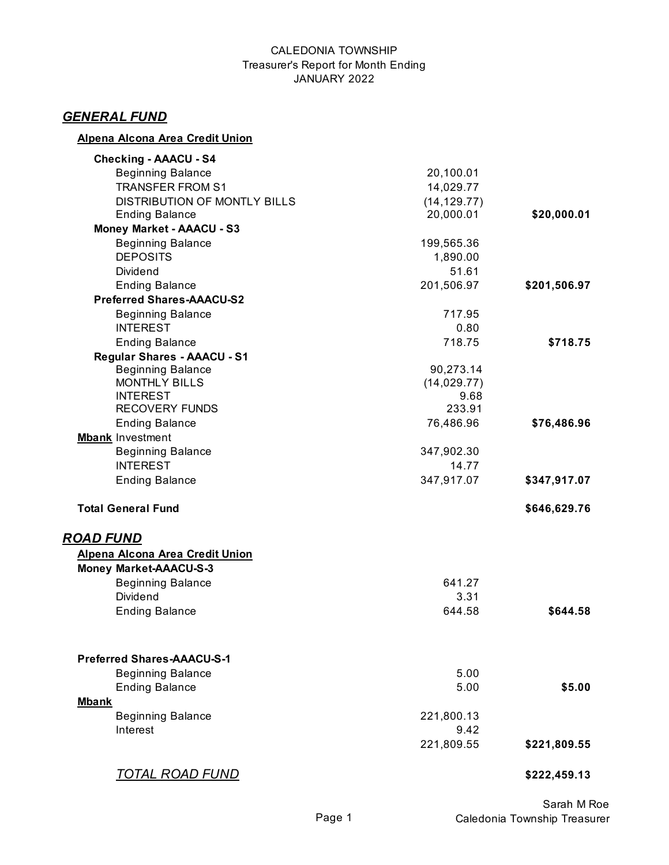#### CALEDONIA TOWNSHIP Treasurer's Report for Month Ending JANUARY 2022

# *GENERAL FUND*

## **Alpena Alcona Area Credit Union**

| <b>Checking - AAACU - S4</b>                |              |              |
|---------------------------------------------|--------------|--------------|
| <b>Beginning Balance</b>                    | 20,100.01    |              |
| <b>TRANSFER FROM S1</b>                     | 14,029.77    |              |
| <b>DISTRIBUTION OF MONTLY BILLS</b>         | (14, 129.77) |              |
| <b>Ending Balance</b>                       | 20,000.01    | \$20,000.01  |
| <b>Money Market - AAACU - S3</b>            |              |              |
| <b>Beginning Balance</b>                    | 199,565.36   |              |
| <b>DEPOSITS</b>                             | 1,890.00     |              |
| Dividend                                    | 51.61        |              |
| <b>Ending Balance</b>                       | 201,506.97   | \$201,506.97 |
| <b>Preferred Shares-AAACU-S2</b>            |              |              |
| <b>Beginning Balance</b>                    | 717.95       |              |
| <b>INTEREST</b>                             | 0.80         |              |
| <b>Ending Balance</b>                       | 718.75       | \$718.75     |
| <b>Regular Shares - AAACU - S1</b>          |              |              |
| <b>Beginning Balance</b>                    | 90,273.14    |              |
| <b>MONTHLY BILLS</b>                        | (14, 029.77) |              |
| <b>INTEREST</b>                             | 9.68         |              |
| <b>RECOVERY FUNDS</b>                       | 233.91       |              |
| <b>Ending Balance</b>                       | 76,486.96    | \$76,486.96  |
| <b>Mbank Investment</b>                     |              |              |
| <b>Beginning Balance</b><br><b>INTEREST</b> | 347,902.30   |              |
|                                             | 14.77        |              |
| <b>Ending Balance</b>                       | 347,917.07   | \$347,917.07 |
| <b>Total General Fund</b>                   |              | \$646,629.76 |
| <b>ROAD FUND</b>                            |              |              |
| Alpena Alcona Area Credit Union             |              |              |
| <b>Money Market-AAACU-S-3</b>               |              |              |
| <b>Beginning Balance</b>                    | 641.27       |              |
| <b>Dividend</b>                             | 3.31         |              |
| <b>Ending Balance</b>                       | 644.58       | \$644.58     |
| <b>Preferred Shares-AAACU-S-1</b>           |              |              |
| <b>Beginning Balance</b>                    | 5.00         |              |
| <b>Ending Balance</b>                       | 5.00         | \$5.00       |
| <b>Mbank</b>                                |              |              |
| <b>Beginning Balance</b>                    | 221,800.13   |              |
| Interest                                    | 9.42         |              |
|                                             | 221,809.55   | \$221,809.55 |
| <u>TOTAL ROAD FUND</u>                      |              | \$222,459.13 |